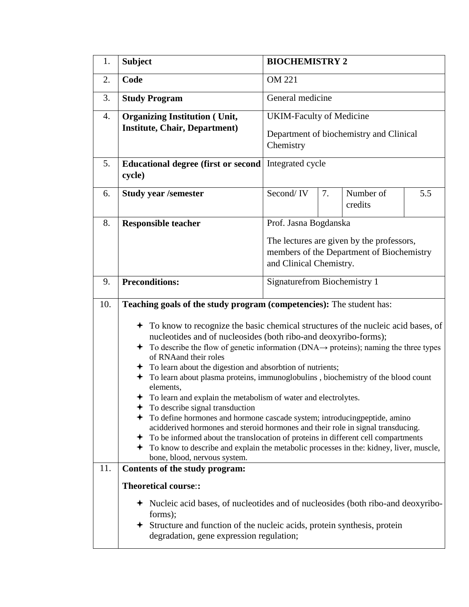| 1.  | <b>Subject</b>                                                                                                                                                                                                                                                                                                                                                                                                                                                                                                                                                                                                                                                                                                                                                                                                                                                                                                                             | <b>BIOCHEMISTRY 2</b>                                                                                             |    |                      |     |  |  |
|-----|--------------------------------------------------------------------------------------------------------------------------------------------------------------------------------------------------------------------------------------------------------------------------------------------------------------------------------------------------------------------------------------------------------------------------------------------------------------------------------------------------------------------------------------------------------------------------------------------------------------------------------------------------------------------------------------------------------------------------------------------------------------------------------------------------------------------------------------------------------------------------------------------------------------------------------------------|-------------------------------------------------------------------------------------------------------------------|----|----------------------|-----|--|--|
| 2.  | Code                                                                                                                                                                                                                                                                                                                                                                                                                                                                                                                                                                                                                                                                                                                                                                                                                                                                                                                                       | <b>OM 221</b>                                                                                                     |    |                      |     |  |  |
| 3.  | <b>Study Program</b>                                                                                                                                                                                                                                                                                                                                                                                                                                                                                                                                                                                                                                                                                                                                                                                                                                                                                                                       | General medicine                                                                                                  |    |                      |     |  |  |
| 4.  | <b>Organizing Institution (Unit,</b>                                                                                                                                                                                                                                                                                                                                                                                                                                                                                                                                                                                                                                                                                                                                                                                                                                                                                                       | <b>UKIM-Faculty of Medicine</b>                                                                                   |    |                      |     |  |  |
|     | <b>Institute, Chair, Department)</b>                                                                                                                                                                                                                                                                                                                                                                                                                                                                                                                                                                                                                                                                                                                                                                                                                                                                                                       | Department of biochemistry and Clinical<br>Chemistry                                                              |    |                      |     |  |  |
| 5.  | <b>Educational degree (first or second)</b><br>cycle)                                                                                                                                                                                                                                                                                                                                                                                                                                                                                                                                                                                                                                                                                                                                                                                                                                                                                      | Integrated cycle                                                                                                  |    |                      |     |  |  |
| 6.  | <b>Study year /semester</b>                                                                                                                                                                                                                                                                                                                                                                                                                                                                                                                                                                                                                                                                                                                                                                                                                                                                                                                | Second/IV                                                                                                         | 7. | Number of<br>credits | 5.5 |  |  |
| 8.  | <b>Responsible teacher</b>                                                                                                                                                                                                                                                                                                                                                                                                                                                                                                                                                                                                                                                                                                                                                                                                                                                                                                                 | Prof. Jasna Bogdanska                                                                                             |    |                      |     |  |  |
|     |                                                                                                                                                                                                                                                                                                                                                                                                                                                                                                                                                                                                                                                                                                                                                                                                                                                                                                                                            | The lectures are given by the professors,<br>members of the Department of Biochemistry<br>and Clinical Chemistry. |    |                      |     |  |  |
| 9.  | <b>Signaturefrom Biochemistry 1</b><br><b>Preconditions:</b>                                                                                                                                                                                                                                                                                                                                                                                                                                                                                                                                                                                                                                                                                                                                                                                                                                                                               |                                                                                                                   |    |                      |     |  |  |
| 10. | Teaching goals of the study program (competencies): The student has:                                                                                                                                                                                                                                                                                                                                                                                                                                                                                                                                                                                                                                                                                                                                                                                                                                                                       |                                                                                                                   |    |                      |     |  |  |
| 11. | • To know to recognize the basic chemical structures of the nucleic acid bases, of<br>nucleotides and of nucleosides (both ribo-and deoxyribo-forms);<br>$\div$ To describe the flow of genetic information (DNA $\rightarrow$ proteins); naming the three types<br>of RNAand their roles<br>To learn about the digestion and absorbtion of nutrients;<br>To learn about plasma proteins, immunoglobulins, biochemistry of the blood count<br>elements,<br>To learn and explain the metabolism of water and electrolytes.<br>To describe signal transduction<br>To define hormones and hormone cascade system; introducingpeptide, amino<br>acidderived hormones and steroid hormones and their role in signal transducing.<br>To be informed about the translocation of proteins in different cell compartments<br>To know to describe and explain the metabolic processes in the: kidney, liver, muscle,<br>bone, blood, nervous system. |                                                                                                                   |    |                      |     |  |  |
|     | Contents of the study program:<br>Theoretical course::                                                                                                                                                                                                                                                                                                                                                                                                                                                                                                                                                                                                                                                                                                                                                                                                                                                                                     |                                                                                                                   |    |                      |     |  |  |
|     | • Nucleic acid bases, of nucleotides and of nucleosides (both ribo-and deoxyribo-<br>forms);<br><b>★</b> Structure and function of the nucleic acids, protein synthesis, protein<br>degradation, gene expression regulation;                                                                                                                                                                                                                                                                                                                                                                                                                                                                                                                                                                                                                                                                                                               |                                                                                                                   |    |                      |     |  |  |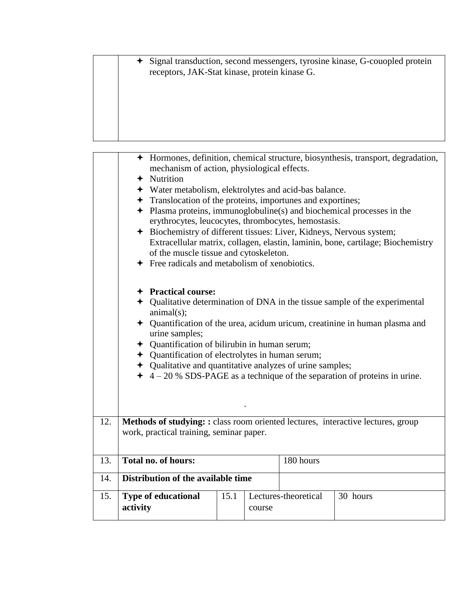Signal transduction, second messengers, tyrosine kinase, G-couopled protein receptors, JAK-Stat kinase, protein kinase G.

|     |                                                                                                                              | mechanism of action, physiological effects.<br>$+$ Nutrition<br>+ Water metabolism, elektrolytes and acid-bas balance.<br>Translocation of the proteins, importunes and exportines;<br>erythrocytes, leucocytes, thrombocytes, hemostasis.<br>+ Biochemistry of different tissues: Liver, Kidneys, Nervous system;<br>of the muscle tissue and cytoskeleton.<br>$\div$ Free radicals and metabolism of xenobiotics.<br>+ Practical course:<br>animal(s);<br>urine samples;<br>+ Quantification of bilirubin in human serum;<br>+ Quantification of electrolytes in human serum;<br>+ Qualitative and quantitative analyzes of urine samples; |      |        |                      | + Hormones, definition, chemical structure, biosynthesis, transport, degradation,<br>$\div$ Plasma proteins, immunoglobuline(s) and biochemical processes in the<br>Extracellular matrix, collagen, elastin, laminin, bone, cartilage; Biochemistry<br>+ Qualitative determination of DNA in the tissue sample of the experimental<br>+ Quantification of the urea, acidum uricum, creatinine in human plasma and<br>$\div$ 4 – 20 % SDS-PAGE as a technique of the separation of proteins in urine. |  |
|-----|------------------------------------------------------------------------------------------------------------------------------|----------------------------------------------------------------------------------------------------------------------------------------------------------------------------------------------------------------------------------------------------------------------------------------------------------------------------------------------------------------------------------------------------------------------------------------------------------------------------------------------------------------------------------------------------------------------------------------------------------------------------------------------|------|--------|----------------------|------------------------------------------------------------------------------------------------------------------------------------------------------------------------------------------------------------------------------------------------------------------------------------------------------------------------------------------------------------------------------------------------------------------------------------------------------------------------------------------------------|--|
| 12. | Methods of studying: : class room oriented lectures, interactive lectures, group<br>work, practical training, seminar paper. |                                                                                                                                                                                                                                                                                                                                                                                                                                                                                                                                                                                                                                              |      |        |                      |                                                                                                                                                                                                                                                                                                                                                                                                                                                                                                      |  |
| 13. | Total no. of hours:                                                                                                          |                                                                                                                                                                                                                                                                                                                                                                                                                                                                                                                                                                                                                                              |      |        | 180 hours            |                                                                                                                                                                                                                                                                                                                                                                                                                                                                                                      |  |
| 14. | Distribution of the available time                                                                                           |                                                                                                                                                                                                                                                                                                                                                                                                                                                                                                                                                                                                                                              |      |        |                      |                                                                                                                                                                                                                                                                                                                                                                                                                                                                                                      |  |
| 15. |                                                                                                                              |                                                                                                                                                                                                                                                                                                                                                                                                                                                                                                                                                                                                                                              | 15.1 |        | Lectures-theoretical | 30 hours                                                                                                                                                                                                                                                                                                                                                                                                                                                                                             |  |
|     | activity                                                                                                                     | <b>Type of educational</b>                                                                                                                                                                                                                                                                                                                                                                                                                                                                                                                                                                                                                   |      | course |                      |                                                                                                                                                                                                                                                                                                                                                                                                                                                                                                      |  |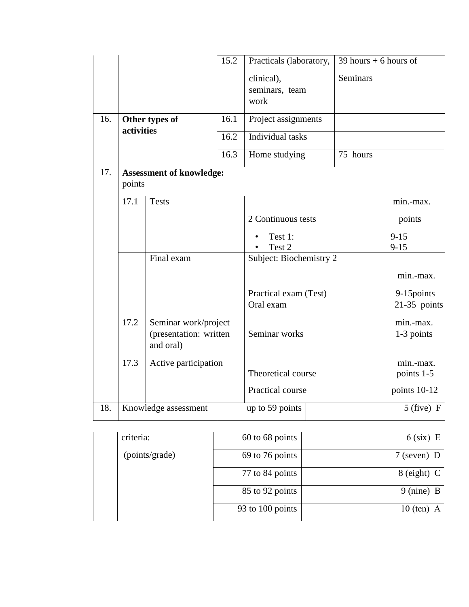|     | 15.2                                      |                                                             | Practicals (laboratory,              | 39 hours $+6$ hours of |                      |                         |
|-----|-------------------------------------------|-------------------------------------------------------------|--------------------------------------|------------------------|----------------------|-------------------------|
|     |                                           |                                                             | clinical),<br>seminars, team<br>work | <b>Seminars</b>        |                      |                         |
| 16. | Other types of<br>activities              |                                                             | 16.1                                 | Project assignments    |                      |                         |
|     |                                           |                                                             | 16.2                                 | Individual tasks       |                      |                         |
|     |                                           |                                                             | 16.3                                 | Home studying          | 75 hours             |                         |
| 17. | <b>Assessment of knowledge:</b><br>points |                                                             |                                      |                        |                      |                         |
|     | 17.1<br><b>Tests</b><br>Final exam        |                                                             |                                      |                        | min.-max.            |                         |
|     |                                           |                                                             | 2 Continuous tests                   |                        | points               |                         |
|     |                                           |                                                             | Test 1:<br>Test 2                    |                        | $9 - 15$<br>$9 - 15$ |                         |
|     |                                           |                                                             | Subject: Biochemistry 2              |                        |                      |                         |
|     |                                           |                                                             |                                      |                        | min.-max.            |                         |
|     |                                           |                                                             | Practical exam (Test)                |                        | 9-15 points          |                         |
|     |                                           |                                                             |                                      | Oral exam              |                      | $21-35$ points          |
|     | 17.2                                      | Seminar work/project<br>(presentation: written<br>and oral) |                                      | Seminar works          |                      | min.-max.<br>1-3 points |
|     | 17.3                                      | Active participation                                        |                                      | Theoretical course     |                      | min.-max.<br>points 1-5 |
|     |                                           |                                                             | Practical course                     |                        | points 10-12         |                         |
| 18. | Knowledge assessment                      |                                                             | up to 59 points                      |                        | $5$ (five) F         |                         |

| criteria:      | $60$ to $68$ points | $6$ (six) E          |
|----------------|---------------------|----------------------|
| (points/grade) | 69 to 76 points     | $7$ (seven) D        |
|                | 77 to 84 points     | $8$ (eight) C        |
|                | 85 to 92 points     | $9 \text{ (nine)} B$ |
|                | 93 to 100 points    | $10$ (ten) A         |